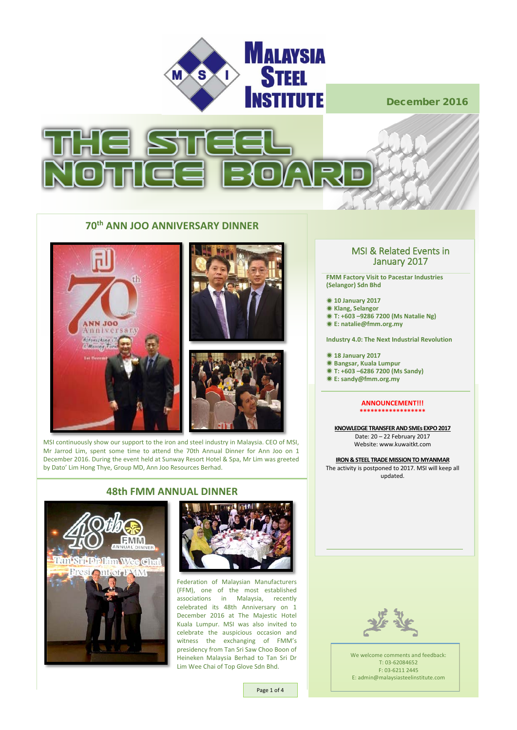



# **70th ANN JOO ANNIVERSARY DINNER**







MSI continuously show our support to the iron and steel industry in Malaysia. CEO of MSI, Mr Jarrod Lim, spent some time to attend the 70th Annual Dinner for Ann Joo on 1 December 2016. During the event held at Sunway Resort Hotel & Spa, Mr Lim was greeted by Dato' Lim Hong Thye, Group MD, Ann Joo Resources Berhad.



### **48th FMM ANNUAL DINNER**



Federation of Malaysian Manufacturers (FFM), one of the most established associations in Malaysia, recently celebrated its 48th Anniversary on 1 December 2016 at The Majestic Hotel Kuala Lumpur. MSI was also invited to celebrate the auspicious occasion and witness the exchanging of FMM's presidency from Tan Sri Saw Choo Boon of Heineken Malaysia Berhad to Tan Sri Dr Lim Wee Chai of Top Glove Sdn Bhd.

# MSI & Related Events in January 2017

**FMM Factory Visit to Pacestar Industries (Selangor) Sdn Bhd**

 **10 January 2017 Klang, Selangor T: +603 –9286 7200 (Ms Natalie Ng) E: natalie@fmm.org.my**

**Industry 4.0: The Next Industrial Revolution** 

 **18 January 2017 Bangsar, Kuala Lumpur T: +603 –6286 7200 (Ms Sandy) E: sandy@fmm.org.my**

#### **ANNOUNCEMENT!!! \*\*\*\*\*\*\*\*\*\*\*\*\*\*\*\*\*\***

**KNOWLEDGE TRANSFER AND SMEs EXPO 2017** Date: 20 – 22 February 2017 Website: www.kuwaitkt.com

**IRON & STEEL TRADE MISSION TO MYANMAR** The activity is postponed to 2017. MSI will keep all updated.



We welcome comments and feedback: T: 03-62084652 F: 03-6211 2445 E: admin@malaysiasteelinstitute.com

Page 1 of 4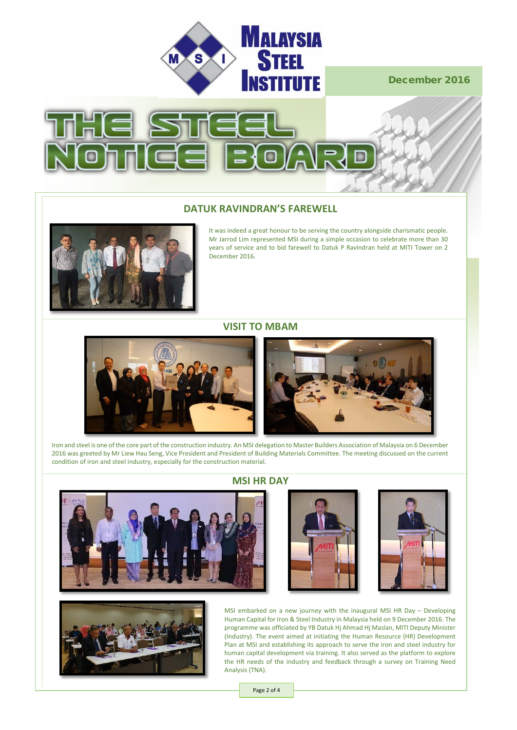



# **DATUK RAVINDRAN'S FAREWELL**



It was indeed a great honour to be serving the country alongside charismatic people. Mr Jarrod Lim represented MSI during a simple occasion to celebrate more than 30 years of service and to bid farewell to Datuk P Ravindran held at MITI Tower on 2 December 2016.

#### **VISIT TO MBAM**



Iron and steel is one of the core part of the construction industry. An MSI delegation to Master Builders Association of Malaysia on 6 December 2016 was greeted by Mr Liew Hau Seng, Vice President and President of Building Materials Committee. The meeting discussed on the current condition of iron and steel industry, especially for the construction material.





## **MSI HR DAY**





MSI embarked on a new journey with the inaugural MSI HR Day – Developing Human Capital for Iron & Steel Industry in Malaysia held on 9 December 2016. The programme was officiated by YB Datuk Hj Ahmad Hj Maslan, MITI Deputy Minister (Industry). The event aimed at initiating the Human Resource (HR) Development Plan at MSI and establishing its approach to serve the iron and steel industry for human capital development via training. It also served as the platform to explore the HR needs of the industry and feedback through a survey on Training Need Analysis (TNA).

Page 2 of 4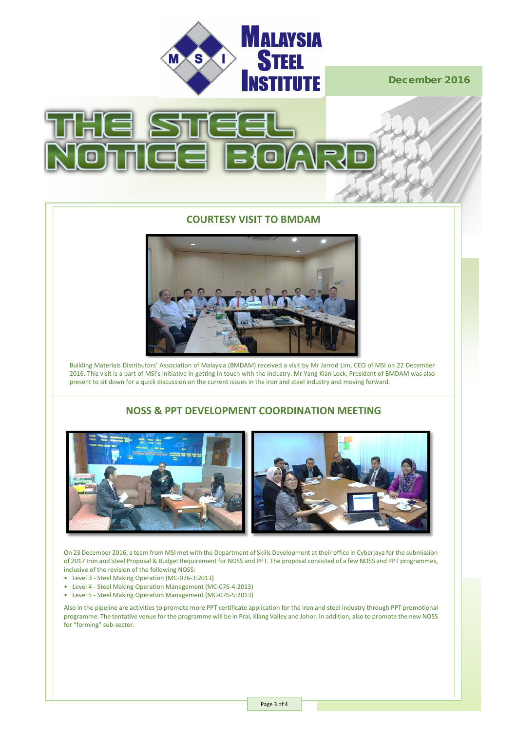



#### **COURTESY VISIT TO BMDAM**



euilding Materials Distributors' Association of Malaysia (BMDAM) received a visit by Mr Jarrod Lim, CEO of MSI on 22 December Bunding Materials Distributors Association of Malaysia (BMDAM) received a Visit by Mr Jarrod Emi, CEO or MSI on 22 December<br>2016. This visit is a part of MSI's initiative in getting in touch with the industry. Mr Yang Kian present to sit down for a quick discussion on the current issues in the iron and steel industry and moving forward.

# *MSI CEO on his speech* **NOSS & PPT DEVELOPMENT COORDINATION MEETING**



On 23 December 2016, a team from MSI met with the Department of Skills Development at their office in Cyberjaya for the submission of 2017 Iron and Steel Proposal & Budget Requirement for NOSS and PPT. The proposal consisted of a few NOSS and PPT programmes, inclusive of the revision of the following NOSS:

- Level 3 Steel Making Operation (MC-076-3:2013)
- Level 4 Steel Making Operation Management (MC-076-4:2013)
- Level 5 Steel Making Operation Management (MC-076-5:2013)

Also in the pipeline are activities to promote more PPT certificate application for the iron and steel industry through PPT promotional programme. The tentative venue for the programme will be in Prai, Klang Valley and Johor. In addition, also to promote the new NOSS<br>Called the case of the tentative venue for the programme will be in Prai, Klang Valley and for "forming" sub-sector.